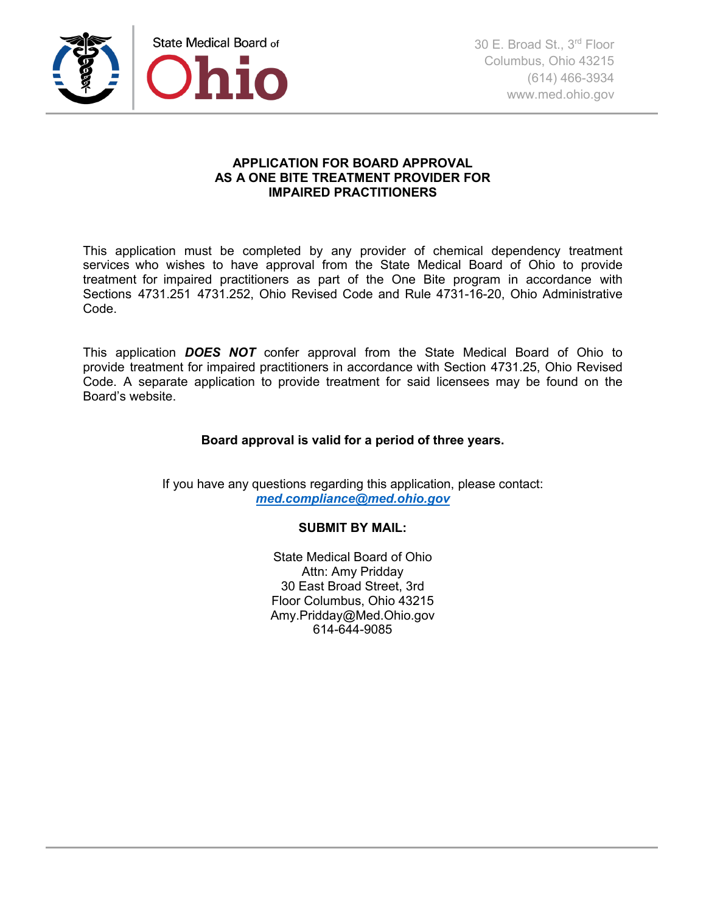

### **APPLICATION FOR BOARD APPROVAL AS A ONE BITE TREATMENT PROVIDER FOR IMPAIRED PRACTITIONERS**

This application must be completed by any provider of chemical dependency treatment services who wishes to have approval from the State Medical Board of Ohio to provide treatment for impaired practitioners as part of the One Bite program in accordance with Sections 4731.251 4731.252, Ohio Revised Code and Rule 4731-16-20, Ohio Administrative Code.

This application *DOES NOT* confer approval from the State Medical Board of Ohio to provide treatment for impaired practitioners in accordance with Section 4731.25, Ohio Revised Code. A separate application to provide treatment for said licensees may be found on the Board's website.

### **Board approval is valid for a period of three years.**

If you have any questions regarding this application, please contact: *med.compliance@med.ohio.gov*

### **SUBMIT BY MAIL:**

State Medical Board of Ohio Attn: Amy Pridday 30 East Broad Street, 3rd Floor Columbus, Ohio 43215 Amy.Pridday@Med.Ohio.gov 614-644-9085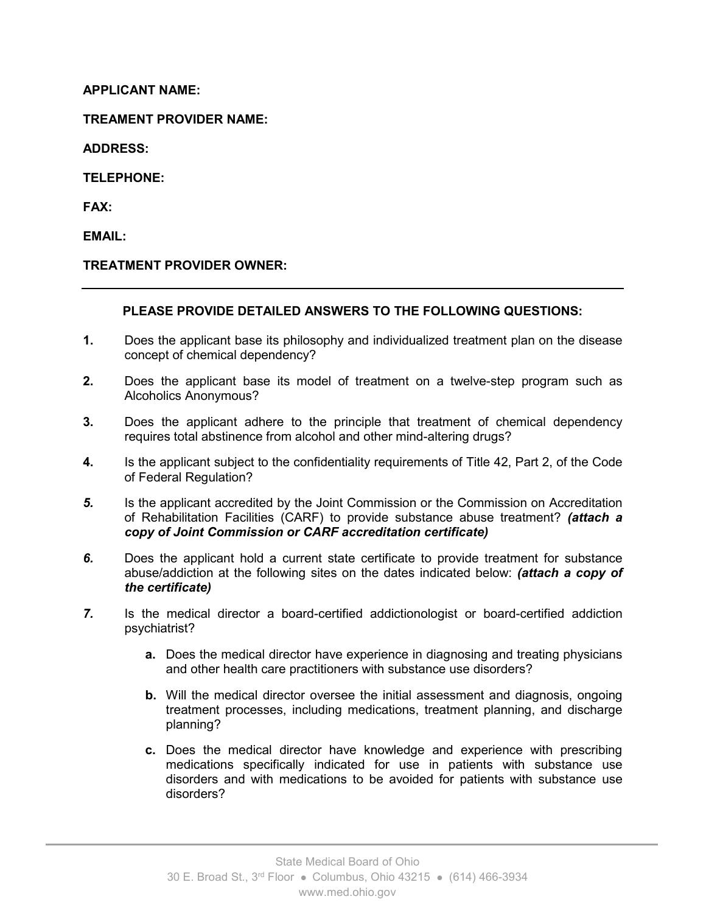### **APPLICANT NAME:**

**TREAMENT PROVIDER NAME:**

**ADDRESS:**

**TELEPHONE:**

**FAX:**

**EMAIL:**

## **TREATMENT PROVIDER OWNER:**

## **PLEASE PROVIDE DETAILED ANSWERS TO THE FOLLOWING QUESTIONS:**

- **1.** Does the applicant base its philosophy and individualized treatment plan on the disease concept of chemical dependency?
- **2.** Does the applicant base its model of treatment on a twelve-step program such as Alcoholics Anonymous?
- **3.** Does the applicant adhere to the principle that treatment of chemical dependency requires total abstinence from alcohol and other mind-altering drugs?
- **4.** Is the applicant subject to the confidentiality requirements of Title 42, Part 2, of the Code of Federal Regulation?
- *5.* Is the applicant accredited by the Joint Commission or the Commission on Accreditation of Rehabilitation Facilities (CARF) to provide substance abuse treatment? *(attach a copy of Joint Commission or CARF accreditation certificate)*
- *6.* Does the applicant hold a current state certificate to provide treatment for substance abuse/addiction at the following sites on the dates indicated below: *(attach a copy of the certificate)*
- *7.* Is the medical director a board-certified addictionologist or board-certified addiction psychiatrist?
	- **a.** Does the medical director have experience in diagnosing and treating physicians and other health care practitioners with substance use disorders?
	- **b.** Will the medical director oversee the initial assessment and diagnosis, ongoing treatment processes, including medications, treatment planning, and discharge planning?
	- **c.** Does the medical director have knowledge and experience with prescribing medications specifically indicated for use in patients with substance use disorders and with medications to be avoided for patients with substance use disorders?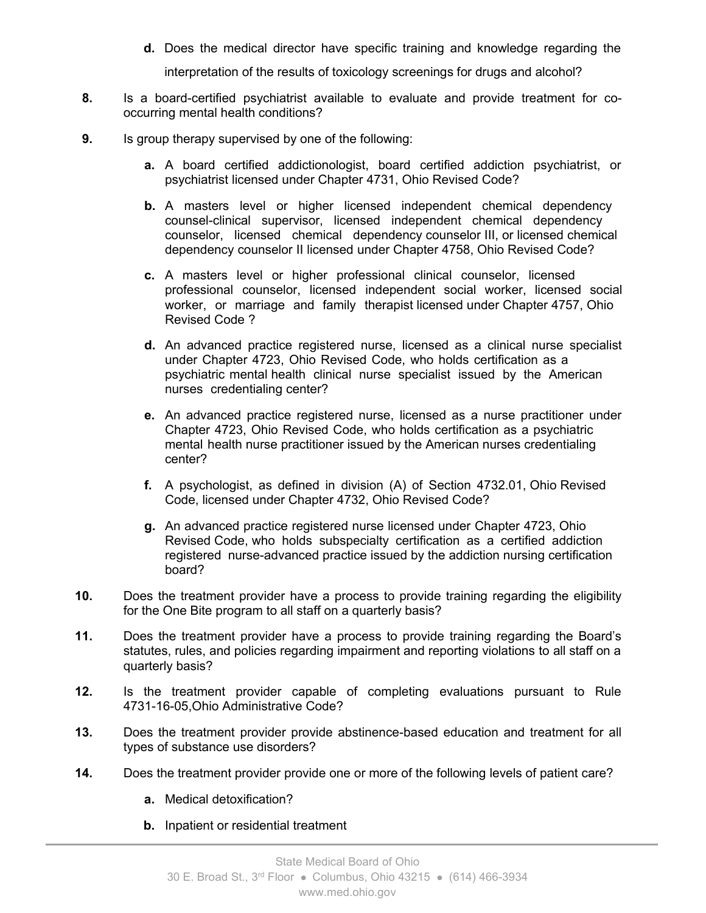- **d.** Does the medical director have specific training and knowledge regarding the interpretation of the results of toxicology screenings for drugs and alcohol?
- **8.** Is a board-certified psychiatrist available to evaluate and provide treatment for cooccurring mental health conditions?
- **9.** Is group therapy supervised by one of the following:
	- **a.** A board certified addictionologist, board certified addiction psychiatrist, or psychiatrist licensed under Chapter 4731, Ohio Revised Code?
	- **b.** A masters level or higher licensed independent chemical dependency counsel-clinical supervisor, licensed independent chemical dependency counselor, licensed chemical dependency counselor III, or licensed chemical dependency counselor II licensed under Chapter 4758, Ohio Revised Code?
	- **c.** A masters level or higher professional clinical counselor, licensed professional counselor, licensed independent social worker, licensed social worker, or marriage and family therapist licensed under Chapter 4757, Ohio Revised Code ?
	- **d.** An advanced practice registered nurse, licensed as a clinical nurse specialist under Chapter 4723, Ohio Revised Code, who holds certification as a psychiatric mental health clinical nurse specialist issued by the American nurses credentialing center?
	- **e.** An advanced practice registered nurse, licensed as a nurse practitioner under Chapter 4723, Ohio Revised Code, who holds certification as a psychiatric mental health nurse practitioner issued by the American nurses credentialing center?
	- **f.** A psychologist, as defined in division (A) of Section 4732.01, Ohio Revised Code, licensed under Chapter 4732, Ohio Revised Code?
	- **g.** An advanced practice registered nurse licensed under Chapter 4723, Ohio Revised Code, who holds subspecialty certification as a certified addiction registered nurse-advanced practice issued by the addiction nursing certification board?
- **10.** Does the treatment provider have a process to provide training regarding the eligibility for the One Bite program to all staff on a quarterly basis?
- **11.** Does the treatment provider have a process to provide training regarding the Board's statutes, rules, and policies regarding impairment and reporting violations to all staff on a quarterly basis?
- **12.** Is the treatment provider capable of completing evaluations pursuant to Rule 4731-16-05,Ohio Administrative Code?
- **13.** Does the treatment provider provide abstinence-based education and treatment for all types of substance use disorders?
- **14.** Does the treatment provider provide one or more of the following levels of patient care?
	- **a.** Medical detoxification?
	- **b.** Inpatient or residential treatment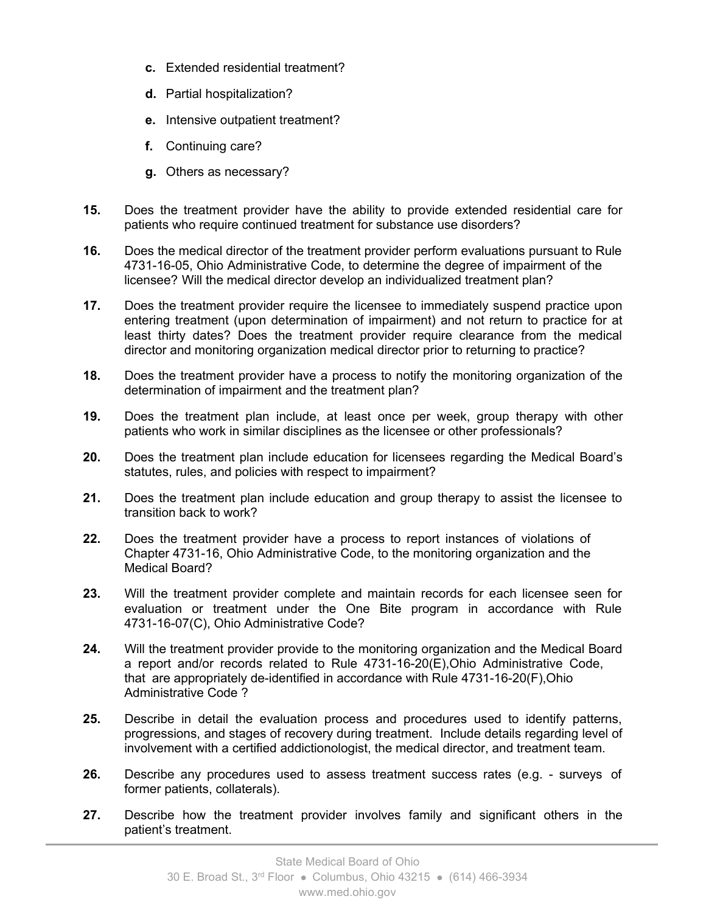- **c.** Extended residential treatment?
- **d.** Partial hospitalization?
- **e.** Intensive outpatient treatment?
- **f.** Continuing care?
- **g.** Others as necessary?
- **15.** Does the treatment provider have the ability to provide extended residential care for patients who require continued treatment for substance use disorders?
- **16.** Does the medical director of the treatment provider perform evaluations pursuant to Rule 4731-16-05, Ohio Administrative Code, to determine the degree of impairment of the licensee? Will the medical director develop an individualized treatment plan?
- **17.** Does the treatment provider require the licensee to immediately suspend practice upon entering treatment (upon determination of impairment) and not return to practice for at least thirty dates? Does the treatment provider require clearance from the medical director and monitoring organization medical director prior to returning to practice?
- **18.** Does the treatment provider have a process to notify the monitoring organization of the determination of impairment and the treatment plan?
- **19.** Does the treatment plan include, at least once per week, group therapy with other patients who work in similar disciplines as the licensee or other professionals?
- **20.** Does the treatment plan include education for licensees regarding the Medical Board's statutes, rules, and policies with respect to impairment?
- **21.** Does the treatment plan include education and group therapy to assist the licensee to transition back to work?
- **22.** Does the treatment provider have a process to report instances of violations of Chapter 4731-16, Ohio Administrative Code, to the monitoring organization and the Medical Board?
- **23.** Will the treatment provider complete and maintain records for each licensee seen for evaluation or treatment under the One Bite program in accordance with Rule 4731-16-07(C), Ohio Administrative Code?
- **24.** Will the treatment provider provide to the monitoring organization and the Medical Board a report and/or records related to Rule 4731-16-20(E),Ohio Administrative Code, that are appropriately de-identified in accordance with Rule 4731-16-20(F),Ohio Administrative Code ?
- **25.** Describe in detail the evaluation process and procedures used to identify patterns, progressions, and stages of recovery during treatment. Include details regarding level of involvement with a certified addictionologist, the medical director, and treatment team.
- **26.** Describe any procedures used to assess treatment success rates (e.g. surveys of former patients, collaterals).
- **27.** Describe how the treatment provider involves family and significant others in the patient's treatment.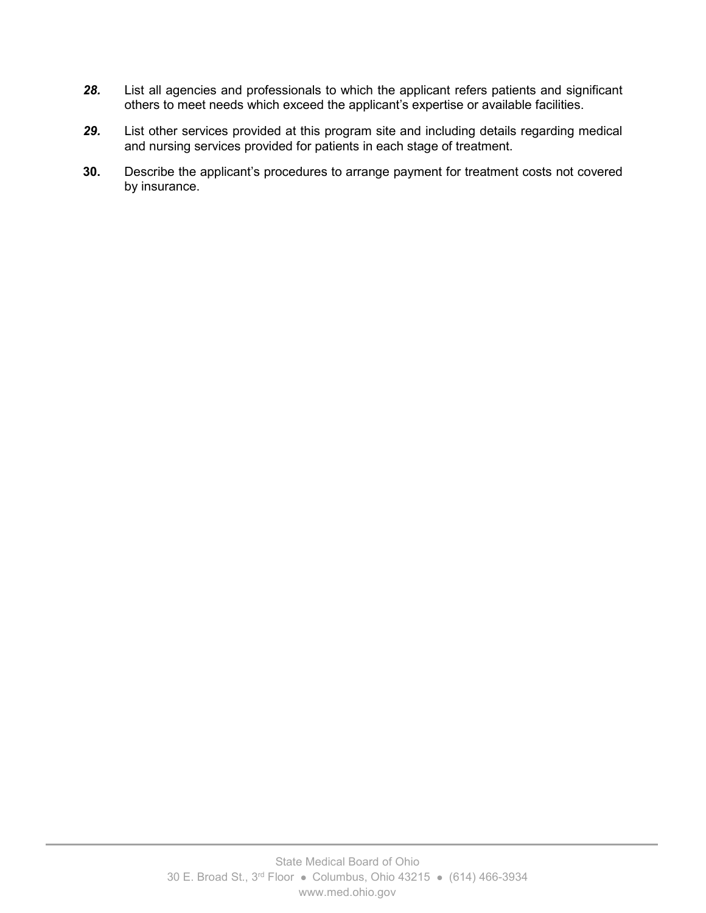- *28.* List all agencies and professionals to which the applicant refers patients and significant others to meet needs which exceed the applicant's expertise or available facilities.
- *29.* List other services provided at this program site and including details regarding medical and nursing services provided for patients in each stage of treatment.
- **30.** Describe the applicant's procedures to arrange payment for treatment costs not covered by insurance.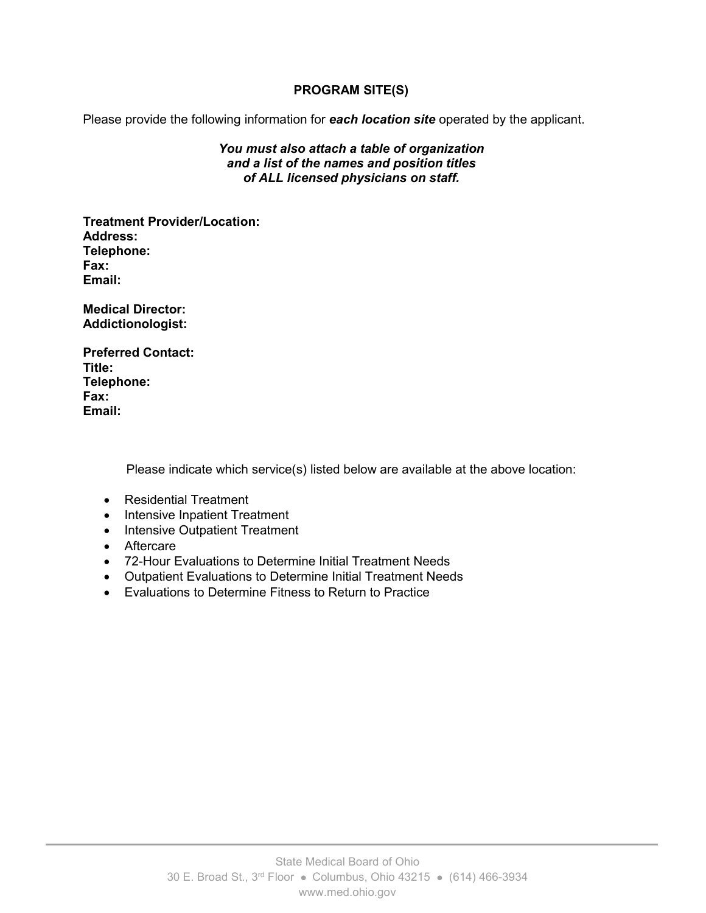## **PROGRAM SITE(S)**

Please provide the following information for *each location site* operated by the applicant.

#### *You must also attach a table of organization and a list of the names and position titles of ALL licensed physicians on staff.*

**Treatment Provider/Location: Address: Telephone: Fax: Email:**

**Medical Director: Addictionologist:**

**Preferred Contact: Title: Telephone: Fax: Email:**

Please indicate which service(s) listed below are available at the above location:

- Residential Treatment
- Intensive Inpatient Treatment
- Intensive Outpatient Treatment
- Aftercare
- 72-Hour Evaluations to Determine Initial Treatment Needs
- Outpatient Evaluations to Determine Initial Treatment Needs
- Evaluations to Determine Fitness to Return to Practice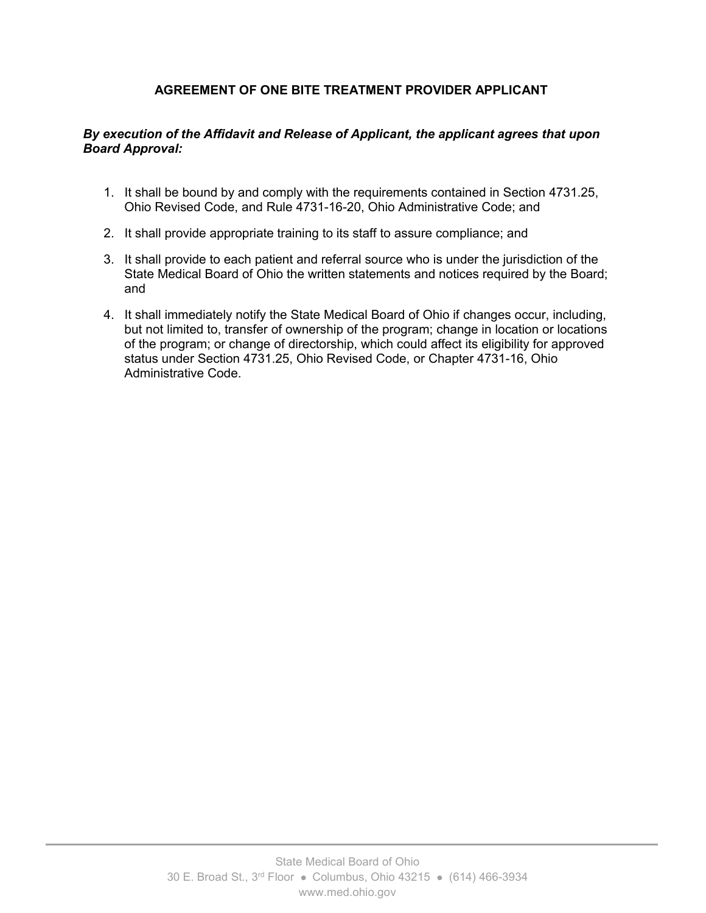# **AGREEMENT OF ONE BITE TREATMENT PROVIDER APPLICANT**

### *By execution of the Affidavit and Release of Applicant, the applicant agrees that upon Board Approval:*

- 1. It shall be bound by and comply with the requirements contained in Section 4731.25, Ohio Revised Code, and Rule 4731-16-20, Ohio Administrative Code; and
- 2. It shall provide appropriate training to its staff to assure compliance; and
- 3. It shall provide to each patient and referral source who is under the jurisdiction of the State Medical Board of Ohio the written statements and notices required by the Board; and
- 4. It shall immediately notify the State Medical Board of Ohio if changes occur, including, but not limited to, transfer of ownership of the program; change in location or locations of the program; or change of directorship, which could affect its eligibility for approved status under Section 4731.25, Ohio Revised Code, or Chapter 4731-16, Ohio Administrative Code.